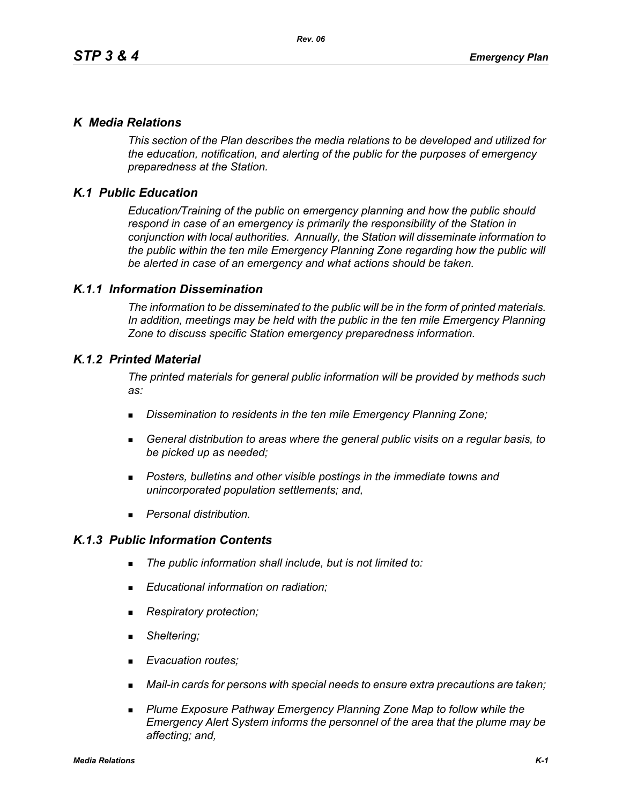## *K Media Relations*

*This section of the Plan describes the media relations to be developed and utilized for the education, notification, and alerting of the public for the purposes of emergency preparedness at the Station.*

# *K.1 Public Education*

*Education/Training of the public on emergency planning and how the public should respond in case of an emergency is primarily the responsibility of the Station in conjunction with local authorities. Annually, the Station will disseminate information to the public within the ten mile Emergency Planning Zone regarding how the public will be alerted in case of an emergency and what actions should be taken.* 

## *K.1.1 Information Dissemination*

*The information to be disseminated to the public will be in the form of printed materials. In addition, meetings may be held with the public in the ten mile Emergency Planning Zone to discuss specific Station emergency preparedness information.* 

## *K.1.2 Printed Material*

*The printed materials for general public information will be provided by methods such as:* 

- *Dissemination to residents in the ten mile Emergency Planning Zone;*
- *General distribution to areas where the general public visits on a regular basis, to be picked up as needed;*
- *Posters, bulletins and other visible postings in the immediate towns and unincorporated population settlements; and,*
- *Personal distribution.*

## *K.1.3 Public Information Contents*

- *The public information shall include, but is not limited to:*
- *Educational information on radiation;*
- *Respiratory protection;*
- *Sheltering;*
- *Evacuation routes;*
- *Mail-in cards for persons with special needs to ensure extra precautions are taken;*
- **Plume Exposure Pathway Emergency Planning Zone Map to follow while the** *Emergency Alert System informs the personnel of the area that the plume may be affecting; and,*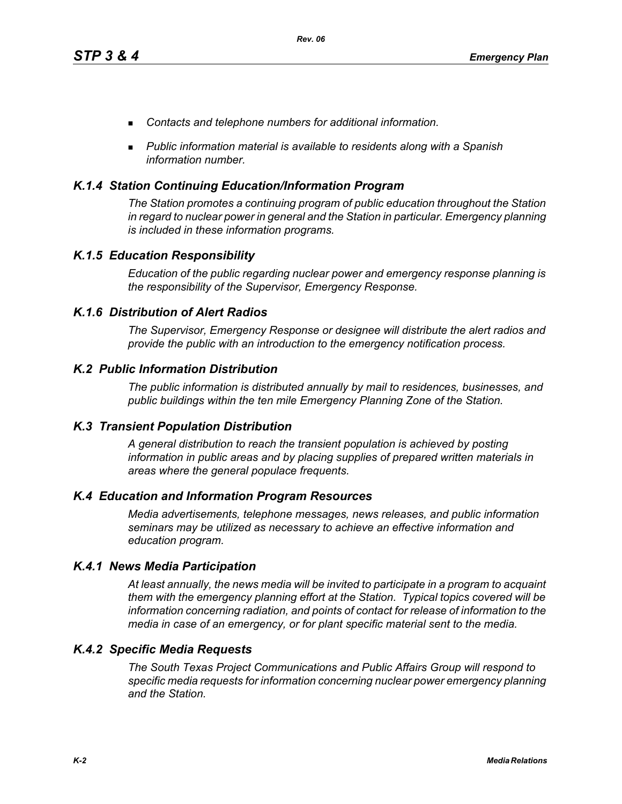- *Contacts and telephone numbers for additional information.*
- *Public information material is available to residents along with a Spanish information number.*

## *K.1.4 Station Continuing Education/Information Program*

*The Station promotes a continuing program of public education throughout the Station in regard to nuclear power in general and the Station in particular. Emergency planning is included in these information programs.* 

## *K.1.5 Education Responsibility*

*Education of the public regarding nuclear power and emergency response planning is the responsibility of the Supervisor, Emergency Response.* 

## *K.1.6 Distribution of Alert Radios*

*The Supervisor, Emergency Response or designee will distribute the alert radios and provide the public with an introduction to the emergency notification process.* 

### *K.2 Public Information Distribution*

*The public information is distributed annually by mail to residences, businesses, and public buildings within the ten mile Emergency Planning Zone of the Station.*

### *K.3 Transient Population Distribution*

*A general distribution to reach the transient population is achieved by posting information in public areas and by placing supplies of prepared written materials in areas where the general populace frequents.* 

### *K.4 Education and Information Program Resources*

*Media advertisements, telephone messages, news releases, and public information seminars may be utilized as necessary to achieve an effective information and education program.* 

### *K.4.1 News Media Participation*

*At least annually, the news media will be invited to participate in a program to acquaint them with the emergency planning effort at the Station. Typical topics covered will be information concerning radiation, and points of contact for release of information to the media in case of an emergency, or for plant specific material sent to the media.*

### *K.4.2 Specific Media Requests*

*The South Texas Project Communications and Public Affairs Group will respond to specific media requests for information concerning nuclear power emergency planning and the Station.*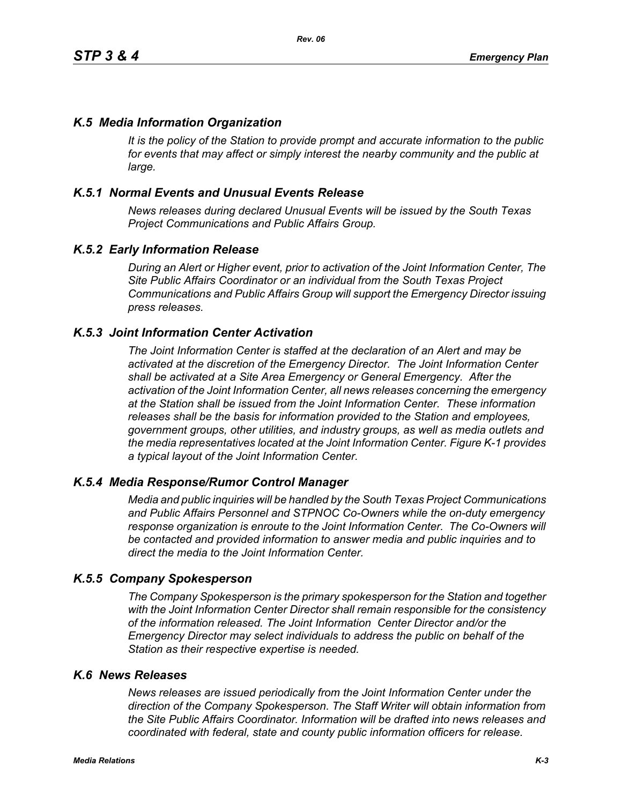## *K.5 Media Information Organization*

*It is the policy of the Station to provide prompt and accurate information to the public*  for events that may affect or simply interest the nearby community and the public at *large.* 

## *K.5.1 Normal Events and Unusual Events Release*

*News releases during declared Unusual Events will be issued by the South Texas Project Communications and Public Affairs Group.* 

### *K.5.2 Early Information Release*

*During an Alert or Higher event, prior to activation of the Joint Information Center, The Site Public Affairs Coordinator or an individual from the South Texas Project Communications and Public Affairs Group will support the Emergency Director issuing press releases.* 

#### *K.5.3 Joint Information Center Activation*

*The Joint Information Center is staffed at the declaration of an Alert and may be activated at the discretion of the Emergency Director. The Joint Information Center shall be activated at a Site Area Emergency or General Emergency. After the activation of the Joint Information Center, all news releases concerning the emergency at the Station shall be issued from the Joint Information Center. These information releases shall be the basis for information provided to the Station and employees, government groups, other utilities, and industry groups, as well as media outlets and the media representatives located at the Joint Information Center. Figure K-1 provides a typical layout of the Joint Information Center.* 

#### *K.5.4 Media Response/Rumor Control Manager*

*Media and public inquiries will be handled by the South Texas Project Communications and Public Affairs Personnel and STPNOC Co-Owners while the on-duty emergency response organization is enroute to the Joint Information Center. The Co-Owners will be contacted and provided information to answer media and public inquiries and to direct the media to the Joint Information Center.*

#### *K.5.5 Company Spokesperson*

*The Company Spokesperson is the primary spokesperson for the Station and together with the Joint Information Center Director shall remain responsible for the consistency of the information released. The Joint Information Center Director and/or the Emergency Director may select individuals to address the public on behalf of the Station as their respective expertise is needed.* 

#### *K.6 News Releases*

*News releases are issued periodically from the Joint Information Center under the direction of the Company Spokesperson. The Staff Writer will obtain information from the Site Public Affairs Coordinator. Information will be drafted into news releases and coordinated with federal, state and county public information officers for release.*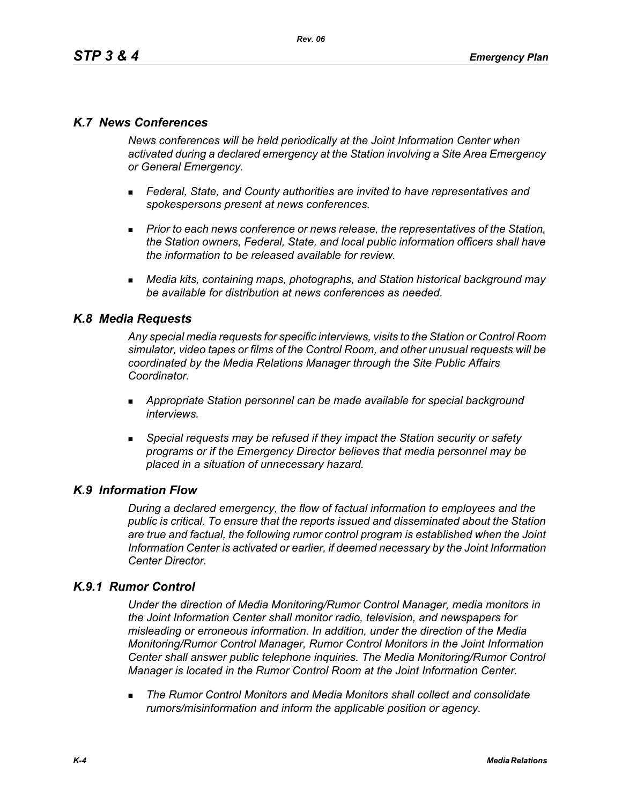# *K.7 News Conferences*

*News conferences will be held periodically at the Joint Information Center when activated during a declared emergency at the Station involving a Site Area Emergency or General Emergency.* 

- *Federal, State, and County authorities are invited to have representatives and spokespersons present at news conferences.*
- **Prior to each news conference or news release, the representatives of the Station,** *the Station owners, Federal, State, and local public information officers shall have the information to be released available for review.*
- *Media kits, containing maps, photographs, and Station historical background may be available for distribution at news conferences as needed.*

## *K.8 Media Requests*

*Any special media requests for specific interviews, visits to the Station or Control Room simulator, video tapes or films of the Control Room, and other unusual requests will be coordinated by the Media Relations Manager through the Site Public Affairs Coordinator.* 

- *Appropriate Station personnel can be made available for special background interviews.*
- *Special requests may be refused if they impact the Station security or safety programs or if the Emergency Director believes that media personnel may be placed in a situation of unnecessary hazard.*

### *K.9 Information Flow*

*During a declared emergency, the flow of factual information to employees and the public is critical. To ensure that the reports issued and disseminated about the Station are true and factual, the following rumor control program is established when the Joint Information Center is activated or earlier, if deemed necessary by the Joint Information Center Director.* 

### *K.9.1 Rumor Control*

*Under the direction of Media Monitoring/Rumor Control Manager, media monitors in the Joint Information Center shall monitor radio, television, and newspapers for misleading or erroneous information. In addition, under the direction of the Media Monitoring/Rumor Control Manager, Rumor Control Monitors in the Joint Information Center shall answer public telephone inquiries. The Media Monitoring/Rumor Control Manager is located in the Rumor Control Room at the Joint Information Center.* 

 *The Rumor Control Monitors and Media Monitors shall collect and consolidate rumors/misinformation and inform the applicable position or agency.*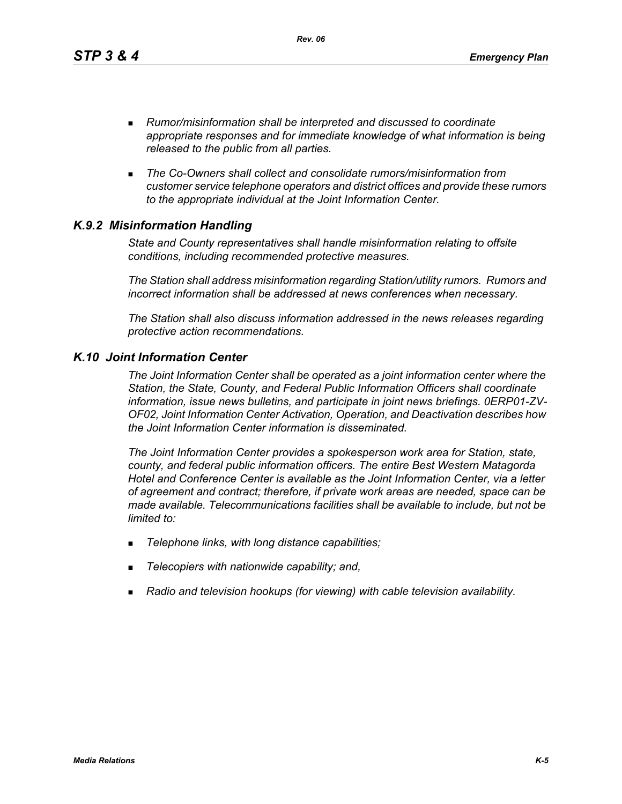*Rev. 06*

- *Rumor/misinformation shall be interpreted and discussed to coordinate appropriate responses and for immediate knowledge of what information is being released to the public from all parties.*
- *The Co-Owners shall collect and consolidate rumors/misinformation from customer service telephone operators and district offices and provide these rumors to the appropriate individual at the Joint Information Center.*

# *K.9.2 Misinformation Handling*

*State and County representatives shall handle misinformation relating to offsite conditions, including recommended protective measures.* 

*The Station shall address misinformation regarding Station/utility rumors. Rumors and incorrect information shall be addressed at news conferences when necessary.* 

*The Station shall also discuss information addressed in the news releases regarding protective action recommendations.* 

## *K.10 Joint Information Center*

*The Joint Information Center shall be operated as a joint information center where the Station, the State, County, and Federal Public Information Officers shall coordinate information, issue news bulletins, and participate in joint news briefings. 0ERP01-ZV-OF02, Joint Information Center Activation, Operation, and Deactivation describes how the Joint Information Center information is disseminated.*

*The Joint Information Center provides a spokesperson work area for Station, state, county, and federal public information officers. The entire Best Western Matagorda Hotel and Conference Center is available as the Joint Information Center, via a letter of agreement and contract; therefore, if private work areas are needed, space can be made available. Telecommunications facilities shall be available to include, but not be limited to:* 

- *Telephone links, with long distance capabilities;*
- *Telecopiers with nationwide capability; and,*
- *Radio and television hookups (for viewing) with cable television availability.*